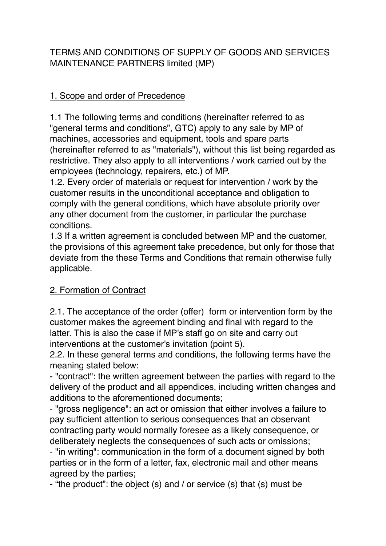TERMS AND CONDITIONS OF SUPPLY OF GOODS AND SERVICES MAINTENANCE PARTNERS limited (MP)

#### 1. Scope and order of Precedence

1.1 The following terms and conditions (hereinafter referred to as "general terms and conditions", GTC) apply to any sale by MP of machines, accessories and equipment, tools and spare parts (hereinafter referred to as "materials"), without this list being regarded as restrictive. They also apply to all interventions / work carried out by the employees (technology, repairers, etc.) of MP.

1.2. Every order of materials or request for intervention / work by the customer results in the unconditional acceptance and obligation to comply with the general conditions, which have absolute priority over any other document from the customer, in particular the purchase conditions.

1.3 If a written agreement is concluded between MP and the customer, the provisions of this agreement take precedence, but only for those that deviate from the these Terms and Conditions that remain otherwise fully applicable.

## 2. Formation of Contract

2.1. The acceptance of the order (offer) form or intervention form by the customer makes the agreement binding and final with regard to the latter. This is also the case if MP's staff go on site and carry out interventions at the customer's invitation (point 5).

2.2. In these general terms and conditions, the following terms have the meaning stated below:

- "contract": the written agreement between the parties with regard to the delivery of the product and all appendices, including written changes and additions to the aforementioned documents;

- "gross negligence": an act or omission that either involves a failure to pay sufficient attention to serious consequences that an observant contracting party would normally foresee as a likely consequence, or deliberately neglects the consequences of such acts or omissions;

- "in writing": communication in the form of a document signed by both parties or in the form of a letter, fax, electronic mail and other means agreed by the parties;

- "the product": the object (s) and / or service (s) that (s) must be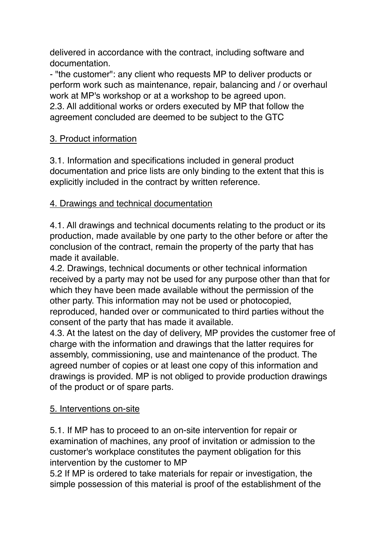delivered in accordance with the contract, including software and documentation.

- "the customer": any client who requests MP to deliver products or perform work such as maintenance, repair, balancing and / or overhaul work at MP's workshop or at a workshop to be agreed upon. 2.3. All additional works or orders executed by MP that follow the agreement concluded are deemed to be subject to the GTC

## 3. Product information

3.1. Information and specifications included in general product documentation and price lists are only binding to the extent that this is explicitly included in the contract by written reference.

# 4. Drawings and technical documentation

4.1. All drawings and technical documents relating to the product or its production, made available by one party to the other before or after the conclusion of the contract, remain the property of the party that has made it available.

4.2. Drawings, technical documents or other technical information received by a party may not be used for any purpose other than that for which they have been made available without the permission of the other party. This information may not be used or photocopied, reproduced, handed over or communicated to third parties without the consent of the party that has made it available.

4.3. At the latest on the day of delivery, MP provides the customer free of charge with the information and drawings that the latter requires for assembly, commissioning, use and maintenance of the product. The agreed number of copies or at least one copy of this information and drawings is provided. MP is not obliged to provide production drawings of the product or of spare parts.

#### 5. Interventions on-site

5.1. If MP has to proceed to an on-site intervention for repair or examination of machines, any proof of invitation or admission to the customer's workplace constitutes the payment obligation for this intervention by the customer to MP

5.2 If MP is ordered to take materials for repair or investigation, the simple possession of this material is proof of the establishment of the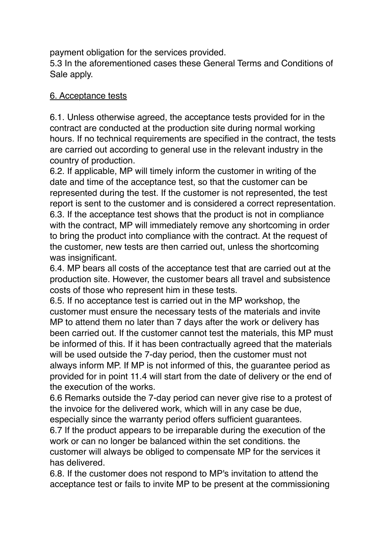payment obligation for the services provided.

5.3 In the aforementioned cases these General Terms and Conditions of Sale apply.

#### 6. Acceptance tests

6.1. Unless otherwise agreed, the acceptance tests provided for in the contract are conducted at the production site during normal working hours. If no technical requirements are specified in the contract, the tests are carried out according to general use in the relevant industry in the country of production.

6.2. If applicable, MP will timely inform the customer in writing of the date and time of the acceptance test, so that the customer can be represented during the test. If the customer is not represented, the test report is sent to the customer and is considered a correct representation. 6.3. If the acceptance test shows that the product is not in compliance with the contract, MP will immediately remove any shortcoming in order to bring the product into compliance with the contract. At the request of the customer, new tests are then carried out, unless the shortcoming was insignificant.

6.4. MP bears all costs of the acceptance test that are carried out at the production site. However, the customer bears all travel and subsistence costs of those who represent him in these tests.

6.5. If no acceptance test is carried out in the MP workshop, the customer must ensure the necessary tests of the materials and invite MP to attend them no later than 7 days after the work or delivery has been carried out. If the customer cannot test the materials, this MP must be informed of this. If it has been contractually agreed that the materials will be used outside the 7-day period, then the customer must not always inform MP. If MP is not informed of this, the guarantee period as provided for in point 11.4 will start from the date of delivery or the end of the execution of the works.

6.6 Remarks outside the 7-day period can never give rise to a protest of the invoice for the delivered work, which will in any case be due,

especially since the warranty period offers sufficient guarantees. 6.7 If the product appears to be irreparable during the execution of the work or can no longer be balanced within the set conditions. the customer will always be obliged to compensate MP for the services it has delivered.

6.8. If the customer does not respond to MP's invitation to attend the acceptance test or fails to invite MP to be present at the commissioning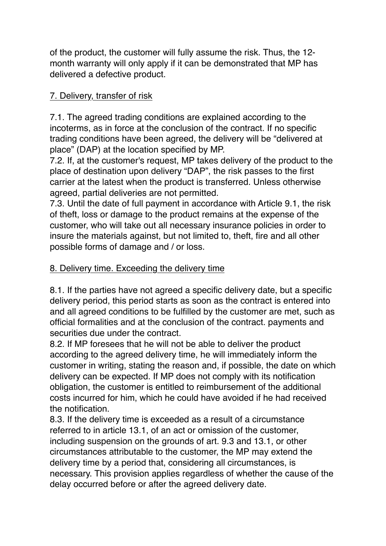of the product, the customer will fully assume the risk. Thus, the 12 month warranty will only apply if it can be demonstrated that MP has delivered a defective product.

## 7. Delivery, transfer of risk

7.1. The agreed trading conditions are explained according to the incoterms, as in force at the conclusion of the contract. If no specific trading conditions have been agreed, the delivery will be "delivered at place" (DAP) at the location specified by MP.

7.2. If, at the customer's request, MP takes delivery of the product to the place of destination upon delivery "DAP", the risk passes to the first carrier at the latest when the product is transferred. Unless otherwise agreed, partial deliveries are not permitted.

7.3. Until the date of full payment in accordance with Article 9.1, the risk of theft, loss or damage to the product remains at the expense of the customer, who will take out all necessary insurance policies in order to insure the materials against, but not limited to, theft, fire and all other possible forms of damage and / or loss.

#### 8. Delivery time. Exceeding the delivery time

8.1. If the parties have not agreed a specific delivery date, but a specific delivery period, this period starts as soon as the contract is entered into and all agreed conditions to be fulfilled by the customer are met, such as official formalities and at the conclusion of the contract. payments and securities due under the contract.

8.2. If MP foresees that he will not be able to deliver the product according to the agreed delivery time, he will immediately inform the customer in writing, stating the reason and, if possible, the date on which delivery can be expected. If MP does not comply with its notification obligation, the customer is entitled to reimbursement of the additional costs incurred for him, which he could have avoided if he had received the notification.

8.3. If the delivery time is exceeded as a result of a circumstance referred to in article 13.1, of an act or omission of the customer, including suspension on the grounds of art. 9.3 and 13.1, or other circumstances attributable to the customer, the MP may extend the delivery time by a period that, considering all circumstances, is necessary. This provision applies regardless of whether the cause of the delay occurred before or after the agreed delivery date.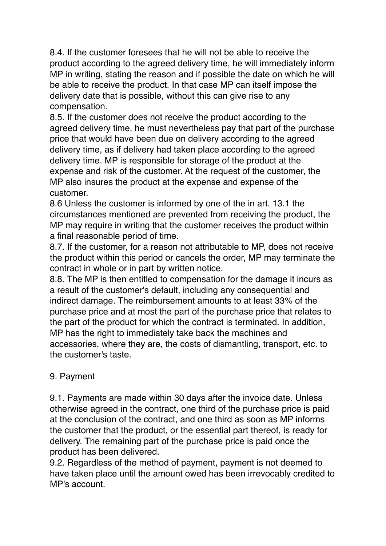8.4. If the customer foresees that he will not be able to receive the product according to the agreed delivery time, he will immediately inform MP in writing, stating the reason and if possible the date on which he will be able to receive the product. In that case MP can itself impose the delivery date that is possible, without this can give rise to any compensation.

8.5. If the customer does not receive the product according to the agreed delivery time, he must nevertheless pay that part of the purchase price that would have been due on delivery according to the agreed delivery time, as if delivery had taken place according to the agreed delivery time. MP is responsible for storage of the product at the expense and risk of the customer. At the request of the customer, the MP also insures the product at the expense and expense of the customer.

8.6 Unless the customer is informed by one of the in art. 13.1 the circumstances mentioned are prevented from receiving the product, the MP may require in writing that the customer receives the product within a final reasonable period of time.

8.7. If the customer, for a reason not attributable to MP, does not receive the product within this period or cancels the order, MP may terminate the contract in whole or in part by written notice.

8.8. The MP is then entitled to compensation for the damage it incurs as a result of the customer's default, including any consequential and indirect damage. The reimbursement amounts to at least 33% of the purchase price and at most the part of the purchase price that relates to the part of the product for which the contract is terminated. In addition, MP has the right to immediately take back the machines and accessories, where they are, the costs of dismantling, transport, etc. to the customer's taste.

## 9. Payment

9.1. Payments are made within 30 days after the invoice date. Unless otherwise agreed in the contract, one third of the purchase price is paid at the conclusion of the contract, and one third as soon as MP informs the customer that the product, or the essential part thereof, is ready for delivery. The remaining part of the purchase price is paid once the product has been delivered.

9.2. Regardless of the method of payment, payment is not deemed to have taken place until the amount owed has been irrevocably credited to MP's account.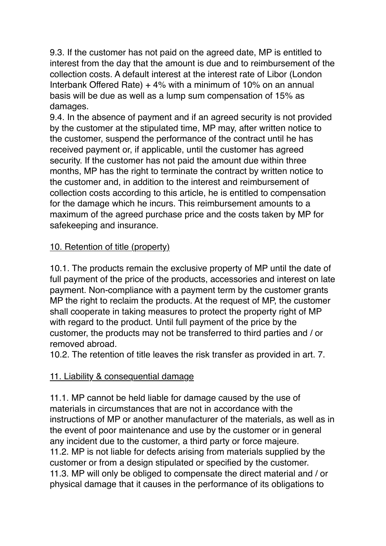9.3. If the customer has not paid on the agreed date, MP is entitled to interest from the day that the amount is due and to reimbursement of the collection costs. A default interest at the interest rate of Libor (London Interbank Offered Rate) + 4% with a minimum of 10% on an annual basis will be due as well as a lump sum compensation of 15% as damages.

9.4. In the absence of payment and if an agreed security is not provided by the customer at the stipulated time, MP may, after written notice to the customer, suspend the performance of the contract until he has received payment or, if applicable, until the customer has agreed security. If the customer has not paid the amount due within three months, MP has the right to terminate the contract by written notice to the customer and, in addition to the interest and reimbursement of collection costs according to this article, he is entitled to compensation for the damage which he incurs. This reimbursement amounts to a maximum of the agreed purchase price and the costs taken by MP for safekeeping and insurance.

# 10. Retention of title (property)

10.1. The products remain the exclusive property of MP until the date of full payment of the price of the products, accessories and interest on late payment. Non-compliance with a payment term by the customer grants MP the right to reclaim the products. At the request of MP, the customer shall cooperate in taking measures to protect the property right of MP with regard to the product. Until full payment of the price by the customer, the products may not be transferred to third parties and / or removed abroad.

10.2. The retention of title leaves the risk transfer as provided in art. 7.

# 11. Liability & consequential damage

11.1. MP cannot be held liable for damage caused by the use of materials in circumstances that are not in accordance with the instructions of MP or another manufacturer of the materials, as well as in the event of poor maintenance and use by the customer or in general any incident due to the customer, a third party or force majeure. 11.2. MP is not liable for defects arising from materials supplied by the customer or from a design stipulated or specified by the customer. 11.3. MP will only be obliged to compensate the direct material and / or physical damage that it causes in the performance of its obligations to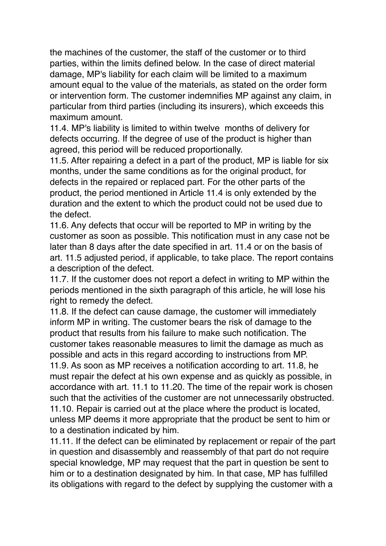the machines of the customer, the staff of the customer or to third parties, within the limits defined below. In the case of direct material damage, MP's liability for each claim will be limited to a maximum amount equal to the value of the materials, as stated on the order form or intervention form. The customer indemnifies MP against any claim, in particular from third parties (including its insurers), which exceeds this maximum amount.

11.4. MP's liability is limited to within twelve months of delivery for defects occurring. If the degree of use of the product is higher than agreed, this period will be reduced proportionally.

11.5. After repairing a defect in a part of the product, MP is liable for six months, under the same conditions as for the original product, for defects in the repaired or replaced part. For the other parts of the product, the period mentioned in Article 11.4 is only extended by the duration and the extent to which the product could not be used due to the defect.

11.6. Any defects that occur will be reported to MP in writing by the customer as soon as possible. This notification must in any case not be later than 8 days after the date specified in art. 11.4 or on the basis of art. 11.5 adjusted period, if applicable, to take place. The report contains a description of the defect.

11.7. If the customer does not report a defect in writing to MP within the periods mentioned in the sixth paragraph of this article, he will lose his right to remedy the defect.

11.8. If the defect can cause damage, the customer will immediately inform MP in writing. The customer bears the risk of damage to the product that results from his failure to make such notification. The customer takes reasonable measures to limit the damage as much as possible and acts in this regard according to instructions from MP. 11.9. As soon as MP receives a notification according to art. 11.8, he must repair the defect at his own expense and as quickly as possible, in accordance with art. 11.1 to 11.20. The time of the repair work is chosen such that the activities of the customer are not unnecessarily obstructed. 11.10. Repair is carried out at the place where the product is located, unless MP deems it more appropriate that the product be sent to him or to a destination indicated by him.

11.11. If the defect can be eliminated by replacement or repair of the part in question and disassembly and reassembly of that part do not require special knowledge, MP may request that the part in question be sent to him or to a destination designated by him. In that case, MP has fulfilled its obligations with regard to the defect by supplying the customer with a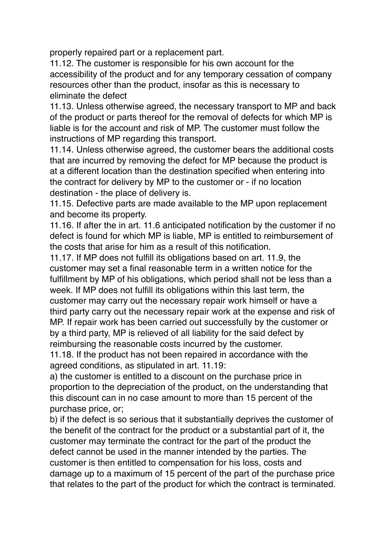properly repaired part or a replacement part.

11.12. The customer is responsible for his own account for the accessibility of the product and for any temporary cessation of company resources other than the product, insofar as this is necessary to eliminate the defect

11.13. Unless otherwise agreed, the necessary transport to MP and back of the product or parts thereof for the removal of defects for which MP is liable is for the account and risk of MP. The customer must follow the instructions of MP regarding this transport.

11.14. Unless otherwise agreed, the customer bears the additional costs that are incurred by removing the defect for MP because the product is at a different location than the destination specified when entering into the contract for delivery by MP to the customer or - if no location destination - the place of delivery is.

11.15. Defective parts are made available to the MP upon replacement and become its property.

11.16. If after the in art. 11.6 anticipated notification by the customer if no defect is found for which MP is liable, MP is entitled to reimbursement of the costs that arise for him as a result of this notification.

11.17. If MP does not fulfill its obligations based on art. 11.9, the customer may set a final reasonable term in a written notice for the fulfillment by MP of his obligations, which period shall not be less than a week. If MP does not fulfill its obligations within this last term, the customer may carry out the necessary repair work himself or have a third party carry out the necessary repair work at the expense and risk of MP. If repair work has been carried out successfully by the customer or by a third party, MP is relieved of all liability for the said defect by reimbursing the reasonable costs incurred by the customer.

11.18. If the product has not been repaired in accordance with the agreed conditions, as stipulated in art. 11.19:

a) the customer is entitled to a discount on the purchase price in proportion to the depreciation of the product, on the understanding that this discount can in no case amount to more than 15 percent of the purchase price, or;

b) if the defect is so serious that it substantially deprives the customer of the benefit of the contract for the product or a substantial part of it, the customer may terminate the contract for the part of the product the defect cannot be used in the manner intended by the parties. The customer is then entitled to compensation for his loss, costs and damage up to a maximum of 15 percent of the part of the purchase price that relates to the part of the product for which the contract is terminated.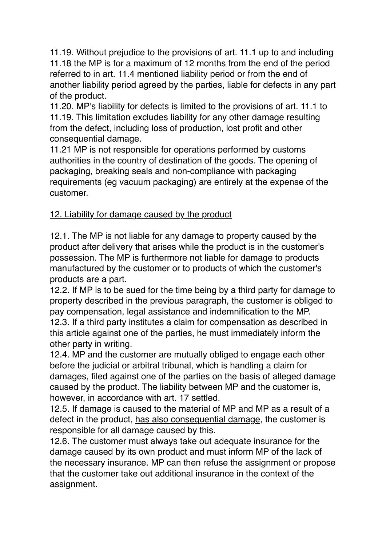11.19. Without prejudice to the provisions of art. 11.1 up to and including 11.18 the MP is for a maximum of 12 months from the end of the period referred to in art. 11.4 mentioned liability period or from the end of another liability period agreed by the parties, liable for defects in any part of the product.

11.20. MP's liability for defects is limited to the provisions of art. 11.1 to 11.19. This limitation excludes liability for any other damage resulting from the defect, including loss of production, lost profit and other consequential damage.

11.21 MP is not responsible for operations performed by customs authorities in the country of destination of the goods. The opening of packaging, breaking seals and non-compliance with packaging requirements (eg vacuum packaging) are entirely at the expense of the customer.

# 12. Liability for damage caused by the product

12.1. The MP is not liable for any damage to property caused by the product after delivery that arises while the product is in the customer's possession. The MP is furthermore not liable for damage to products manufactured by the customer or to products of which the customer's products are a part.

12.2. If MP is to be sued for the time being by a third party for damage to property described in the previous paragraph, the customer is obliged to pay compensation, legal assistance and indemnification to the MP. 12.3. If a third party institutes a claim for compensation as described in this article against one of the parties, he must immediately inform the other party in writing.

12.4. MP and the customer are mutually obliged to engage each other before the judicial or arbitral tribunal, which is handling a claim for damages, filed against one of the parties on the basis of alleged damage caused by the product. The liability between MP and the customer is, however, in accordance with art. 17 settled.

12.5. If damage is caused to the material of MP and MP as a result of a defect in the product, has also consequential damage, the customer is responsible for all damage caused by this.

12.6. The customer must always take out adequate insurance for the damage caused by its own product and must inform MP of the lack of the necessary insurance. MP can then refuse the assignment or propose that the customer take out additional insurance in the context of the assignment.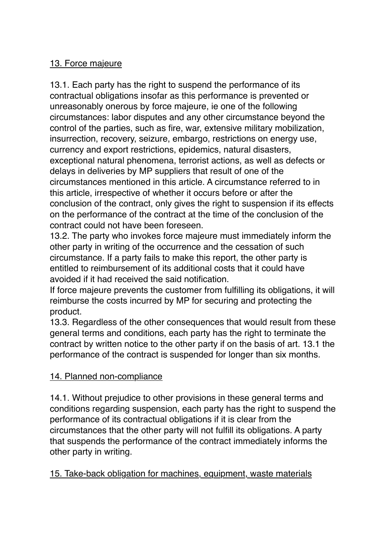# 13. Force majeure

13.1. Each party has the right to suspend the performance of its contractual obligations insofar as this performance is prevented or unreasonably onerous by force majeure, ie one of the following circumstances: labor disputes and any other circumstance beyond the control of the parties, such as fire, war, extensive military mobilization, insurrection, recovery, seizure, embargo, restrictions on energy use, currency and export restrictions, epidemics, natural disasters, exceptional natural phenomena, terrorist actions, as well as defects or delays in deliveries by MP suppliers that result of one of the circumstances mentioned in this article. A circumstance referred to in this article, irrespective of whether it occurs before or after the conclusion of the contract, only gives the right to suspension if its effects on the performance of the contract at the time of the conclusion of the contract could not have been foreseen.

13.2. The party who invokes force majeure must immediately inform the other party in writing of the occurrence and the cessation of such circumstance. If a party fails to make this report, the other party is entitled to reimbursement of its additional costs that it could have avoided if it had received the said notification.

If force majeure prevents the customer from fulfilling its obligations, it will reimburse the costs incurred by MP for securing and protecting the product.

13.3. Regardless of the other consequences that would result from these general terms and conditions, each party has the right to terminate the contract by written notice to the other party if on the basis of art. 13.1 the performance of the contract is suspended for longer than six months.

## 14. Planned non-compliance

14.1. Without prejudice to other provisions in these general terms and conditions regarding suspension, each party has the right to suspend the performance of its contractual obligations if it is clear from the circumstances that the other party will not fulfill its obligations. A party that suspends the performance of the contract immediately informs the other party in writing.

15. Take-back obligation for machines, equipment, waste materials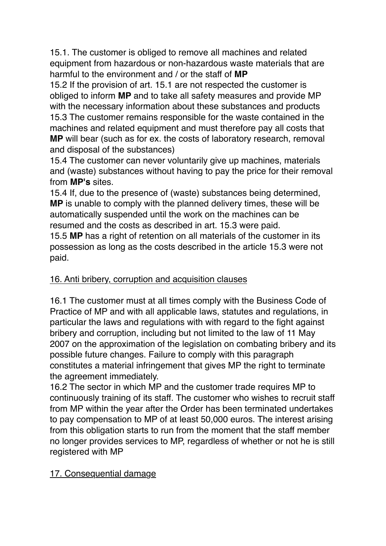15.1. The customer is obliged to remove all machines and related equipment from hazardous or non-hazardous waste materials that are harmful to the environment and / or the staff of **MP**

15.2 If the provision of art. 15.1 are not respected the customer is obliged to inform **MP** and to take all safety measures and provide MP with the necessary information about these substances and products 15.3 The customer remains responsible for the waste contained in the machines and related equipment and must therefore pay all costs that **MP** will bear (such as for ex. the costs of laboratory research, removal and disposal of the substances)

15.4 The customer can never voluntarily give up machines, materials and (waste) substances without having to pay the price for their removal from **MP's** sites.

15.4 If, due to the presence of (waste) substances being determined, **MP** is unable to comply with the planned delivery times, these will be automatically suspended until the work on the machines can be resumed and the costs as described in art. 15.3 were paid.

15.5 **MP** has a right of retention on all materials of the customer in its possession as long as the costs described in the article 15.3 were not paid.

## 16. Anti bribery, corruption and acquisition clauses

16.1 The customer must at all times comply with the Business Code of Practice of MP and with all applicable laws, statutes and regulations, in particular the laws and regulations with with regard to the fight against bribery and corruption, including but not limited to the law of 11 May 2007 on the approximation of the legislation on combating bribery and its possible future changes. Failure to comply with this paragraph constitutes a material infringement that gives MP the right to terminate the agreement immediately.

16.2 The sector in which MP and the customer trade requires MP to continuously training of its staff. The customer who wishes to recruit staff from MP within the year after the Order has been terminated undertakes to pay compensation to MP of at least 50,000 euros. The interest arising from this obligation starts to run from the moment that the staff member no longer provides services to MP, regardless of whether or not he is still registered with MP

## 17. Consequential damage